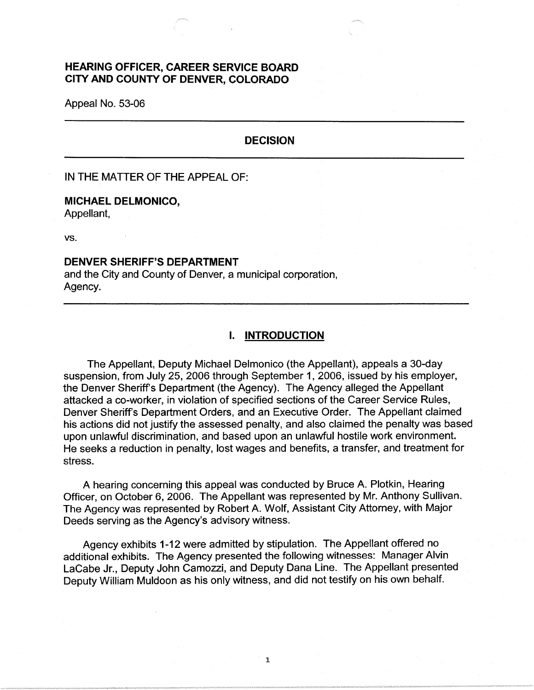# **HEARING OFFICER, CAREER SERVICE BOARD CITY AND COUNTY OF DENVER, COLORADO**

Appeal No. 53-06

## **DECISION**

### IN THE MATTER OF THE APPEAL OF:

## **MICHAEL DELMONICO,**

Appellant,

vs.

#### **DENVER SHERIFF'S DEPARTMENT**

and the City and County of Denver, a municipal corporation, Agency.

### I. **INTRODUCTION**

The Appellant, Deputy Michael Delmonico (the Appellant), appeals a 30-day suspension, from July 25, 2006 through September 1, 2006, issued by his employer, the Denver Sheriff's Department (the Agency). The Agency alleged the Appellant attacked a co-worker, in violation of specified sections of the Career Service Rules, Denver Sheriff's Department Orders, and an Executive Order. The Appellant claimed his actions did not justify the assessed penalty, and also claimed the penalty was based upon unlawful discrimination, and based upon an unlawful hostile work environment. He seeks a reduction in penalty, lost wages and benefits, a transfer, and treatment for stress.

A hearing concerning this appeal was conducted by Bruce A. Plotkin, Hearing Officer, on October 6, 2006. The Appellant was represented by Mr. Anthony Sullivan. The Agency was represented by Robert A. Wolf, Assistant City Attorney, with Major Deeds serving as the Agency's advisory witness.

Agency exhibits 1-12 were admitted by stipulation. The Appellant offered no additional exhibits. The Agency presented the following witnesses: Manager Alvin LaCabe Jr., Deputy John Camozzi, and Deputy Dana Line. The Appellant presented Deputy William Muldoon as his only witness, and did not testify on his own behalf.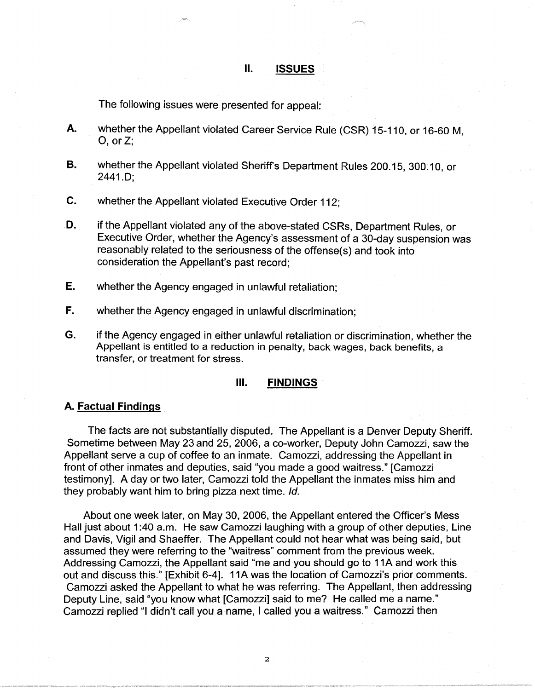## **II. ISSUES**

The following issues were presented for appeal:

- **A.** whether the Appellant violated Career Service Rule (CSR) 15-110, or 16-60 M,  $O$ , or  $Z$ ;
- **B.** whether the Appellant violated Sheriffs Department Rules 200.15, 300.10, or 2441.D;
- **C.** whether the Appellant violated Executive Order 112;
- **D.** if the Appellant violated any of the above-stated CSRs, Department Rules, or Executive Order, whether the Agency's assessment of a 30-day suspension was reasonably related to the seriousness of the offense(s) and took into consideration the Appellant's past record;
- **E.** whether the Agency engaged in unlawful retaliation;
- **F.** whether the Agency engaged in unlawful discrimination;
- **G.** if the Agency engaged in either unlawful retaliation or discrimination, whether the Appellant is entitled to a reduction in penalty, back wages, back benefits, a transfer, or treatment for stress.

#### Ill. **FINDINGS**

#### **A. Factual Findings**

The facts are not substantially disputed. The Appellant is a Denver Deputy Sheriff. Sometime between May 23 and 25, 2006, a co-worker, Deputy John Camozzi, saw the Appellant serve a cup of coffee to an inmate. Camozzi, addressing the Appellant in front of other inmates and deputies, said "you made a good waitress." [Camozzi testimony]. A day or two later, Camozzi told the Appellant the inmates miss him and they probably want him to bring pizza next time. Id.

About one week later, on May 30, 2006, the Appellant entered the Officer's Mess Hall just about 1:40 a.m. He saw Camozzi laughing with a group of other deputies, Line and Davis, Vigil and Shaeffer. The Appellant could not hear what was being said, but assumed they were referring to the "waitress" comment from the previous week. Addressing Camozzi, the Appellant said "me and you should go to 11A and work this out and discuss this." [Exhibit 6-4]. 11A was the location of Camozzi's prior comments. Camozzi asked the Appellant to what he was referring. The Appellant, then addressing Deputy Line, said "you know what [Camozzi] said to me? He called me a name." Camozzi replied "I didn't call you a name, I called you a waitress." Camozzi then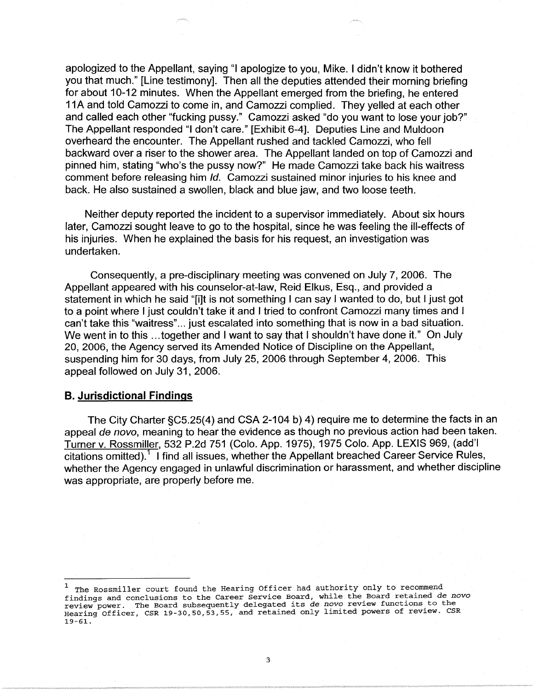apologized to the Appellant, saying "I apologize to you, Mike. I didn't know it bothered you that much." [Line testimony]. Then all the deputies attended their morning briefing for about 10-12 minutes. When the Appellant emerged from the briefing, he entered 11A and told Camozzi to come in, and Camozzi complied. They yelled at each other and called each other "fucking pussy." Camozzi asked "do you want to lose your job?" The Appellant responded "I don't care." [Exhibit 6-4]. Deputies Line and Muldoon overheard the encounter. The Appellant rushed and tackled Camozzi, who fell backward over a riser to the shower area. The Appellant landed on top of Camozzi and pinned him, stating "who's the pussy now?" He made Camozzi take back his waitress comment before releasing him Id. Camozzi sustained minor injuries to his knee and back. He also sustained a swollen, black and blue jaw, and two loose teeth.

Neither deputy reported the incident to a supervisor immediately. About six hours later, Camozzi sought leave to go to the hospital, since he was feeling the ill-effects of his injuries. When he explained the basis for his request, an investigation was undertaken.

Consequently, a pre-disciplinary meeting was convened on July 7, 2006. The Appellant appeared with his counselor-at-law, Reid Elkus, Esq., and provided a statement in which he said "[i]t is not something I can say I wanted to do, but I just got to a point where I just couldn't take it and I tried to confront Camozzi many times and I can't take this "waitress" ... just escalated into something that is now in a bad situation. We went in to this ... together and I want to say that I shouldn't have done it." On July 20, 2006, the Agency served its Amended Notice of Discipline on the Appellant, suspending him for 30 days, from July 25, 2006 through September 4, 2006. This appeal followed on July 31, 2006.

### **B. Jurisdictional Findings**

The City Charter §C5.25(4) and CSA 2-104 b) 4) require me to determine the facts in an appeal de novo, meaning to hear the evidence as though no previous action had been taken. Turner v. Rossmiller, 532 P.2d 751 (Colo. App. 1975), 1975 Colo. App. LEXIS 969, (add'I citations omitted).<sup>1</sup> I find all issues, whether the Appellant breached Career Service Rules, whether the Agency engaged in unlawful discrimination or harassment, and whether discipline was appropriate, are properly before me.

<sup>&</sup>lt;sup>1</sup> The Rossmiller court found the Hearing Officer had authority only to recommend findings and conclusions to the Career Service Board, while the Board retained de novo finding and conclusions and conclusions to the Care Service Board, which is *de novo* review functions to the retained **and the Board subsequently delegated its** *de novo* **review functions to the results** Hearing Officer, CSR 19-30,50,53,55, and retained only limited powers of review. CSR 19-61.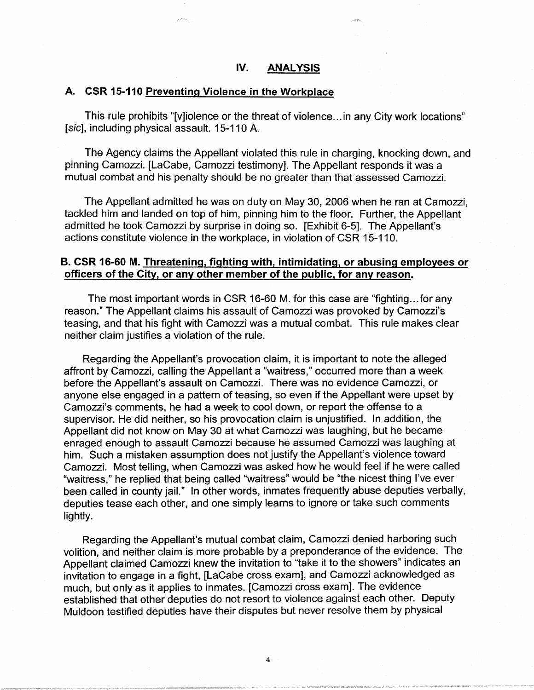### **A. CSR 15-110 Preventing Violence in the Workplace**

This rule prohibits "[v]iolence or the threat of violence ... in any City work locations" [sic], including physical assault. 15-110 A.

The Agency claims the Appellant violated this rule in charging, knocking down, and pinning Camozzi. [LaCabe, Camozzi testimony]. The Appellant responds it was a mutual combat and his penalty should be no greater than that assessed Camozzi.

The Appellant admitted he was on duty on May 30, 2006 when he ran at Camozzi, tackled him and landed on top of him, pinning him to the floor. Further, the Appellant admitted he took Camozzi by surprise in doing so. [Exhibit 6-5]. The Appellant's actions constitute violence in the workplace, in violation of CSR 15-110.

### **B. CSR 16-60 M. Threatening, fighting with, intimidating, or abusing employees or officers of the City, or any other member of the public, for any reason.**

The most important words in CSR 16-60 M. for this case are "fighting ... for any reason." The Appellant claims his assault of Camozzi was provoked by Camozzi's teasing, and that his fight with Camozzi was a mutual combat. This rule makes clear neither claim justifies a violation of the rule.

Regarding the Appellant's provocation claim, it is important to note the alleged affront by Camozzi, calling the Appellant a "waitress," occurred more than a week before the Appellant's assault on Camozzi. There was no evidence Camozzi, or anyone else engaged in a pattern of teasing, so even if the Appellant were upset by Camozzi's comments, he had a week to cool down, or report the offense to a supervisor. He did neither, so his provocation claim is unjustified. In addition, the Appellant did not know on May 30 at what Camozzi was laughing, but he became enraged enough to assault Camozzi because he assumed Camozzi was laughing at him. Such a mistaken assumption does not justify the Appellant's violence toward Camozzi. Most telling, when Camozzi was asked how he would feel if he were called "waitress," he replied that being called "waitress" would be "the nicest thing I've ever been called in county jail." In other words, inmates frequently abuse deputies verbally, deputies tease each other, and one simply learns to ignore or take such comments lightly.

Regarding the Appellant's mutual combat claim, Camozzi denied harboring such volition, and neither claim is more probable by a preponderance of the evidence. The Appellant claimed Camozzi knew the invitation to "take it to the showers" indicates an invitation to engage in a fight, [LaCabe cross exam], and Camozzi acknowledged as much, but only as it applies to inmates. [Camozzi cross exam]. The evidence established that other deputies do not resort to violence against each other. Deputy Muldoon testified deputies have their disputes but never resolve them by physical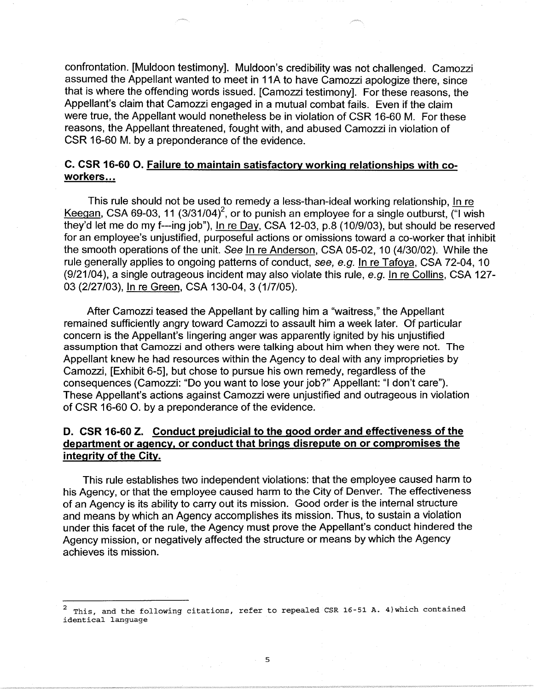confrontation. [Muldoon testimony]. Muldoon's credibility was not challenged. Camozzi assumed the Appellant wanted to meet in 11A to have Camozzi apologize there, since that is where the offending words issued. [Camozzi testimony]. For these reasons, the Appellant's claim that Camozzi engaged in a mutual combat fails. Even if the claim were true, the Appellant would nonetheless be in violation of CSR 16-60 M. For these reasons, the Appellant threatened, fought with, and abused Camozzi in violation of CSR 16-60 M. by a preponderance of the evidence.

# **C. CSR 16-60 0. Failure to maintain satisfactory working relationships with coworkers ...**

This rule should not be used to remedy a less-than-ideal working relationship, In re Keegan, CSA 69-03, 11  $(3/31/04)^2$ , or to punish an employee for a single outburst,  $(4)$  wish they'd let me do my f---ing job"), In re Day, CSA 12-03, p.8 (10/9/03), but should be reserved for an employee's unjustified, purposeful actions or omissions toward a co-worker that inhibit the smooth operations of the unit. See In re Anderson, CSA 05-02, 10 (4/30/02). While the rule generally applies to ongoing patterns of conduct, see, e.g. In re Tafoya, CSA 72-04, 10 (9/21/04), a single outrageous incident may also violate this rule, e.g. In re Collins, CSA 127- 03 (2/27/03), In re Green, CSA 130-04, 3 (1/7/05).

After Camozzi teased the Appellant by calling him a "waitress," the Appellant remained sufficiently angry toward Camozzi to assault him a week later. Of particular concern is the Appellant's lingering anger was apparently ignited by his unjustified assumption that Camozzi and others were talking about him when they were not. The Appellant knew he had resources within the Agency to deal with any improprieties by Camozzi, [Exhibit 6-5], but chose to pursue his own remedy, regardless of the consequences (Camozzi: "Do you want to lose your job?" Appellant: "I don't care"). These Appellant's actions against Camozzi were unjustified and outrageous in violation of CSR 16-60 0. by a preponderance of the evidence.

# **D. CSR 16-60 Z. Conduct prejudicial to the good order and effectiveness of the department or agency, or conduct that brings disrepute on or compromises the integrity of the City.**

This rule establishes two independent violations: that the employee caused harm to his Agency, or that the employee caused harm to the City of Denver. The effectiveness of an Agency is its ability to carry out its mission. Good order is the internal structure and means by which an Agency accomplishes its mission. Thus, to sustain a violation under this facet of the rule, the Agency must prove the Appellant's conduct hindered the Agency mission, or negatively affected the structure or means by which the Agency achieves its mission.

This, and the following citations, refer to repealed CSR 16-51 A. 4) which contained identical language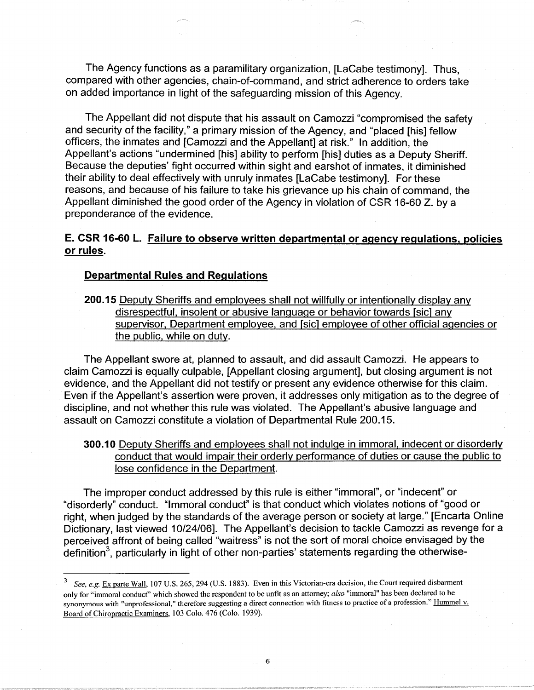The Agency functions as a paramilitary organization, [LaCabe testimony]. Thus, compared with other agencies, chain-of-command, and strict adherence to orders take on added importance in light of the safeguarding mission of this Agency.

The Appellant did not dispute that his assault on Camozzi "compromised the safety and security of the facility," a primary mission of the Agency, and "placed [his] fellow officers, the inmates and [Camozzi and the Appellant] at risk." In addition, the Appellant's actions "undermined [his] ability to perform [his] duties as a Deputy Sheriff. Because the deputies' fight occurred within sight and earshot of inmates, it diminished their ability to deal effectively with unruly inmates [LaCabe testimony]. For these reasons, and because of his failure to take his grievance up his chain of command, the Appellant diminished the good order of the Agency in violation of CSR 16-60 Z. by a preponderance of the evidence.

# **E. CSR 16-60 L. Failure to observe written departmental or agency regulations, policies or rules.**

### **Departmental Rules and Regulations**

**200.15** Deputy Sheriffs and employees shall not willfully or intentionally display any disrespectful, insolent or abusive language or behavior towards [sic] any supervisor, Department employee, and [sic] employee of other official agencies or the public, while on duty.

The Appellant swore at, planned to assault, and did assault Camozzi. He appears to claim Camozzi is equally culpable, [Appellant closing argument], but closing argument is not evidence, and the Appellant did not testify or present any evidence otherwise for this claim. Even if the Appellant's assertion were proven, it addresses only mitigation as to the degree of discipline, and not whether this rule was violated. The Appellant's abusive language and assault on Camozzi constitute a violation of Departmental Rule 200.15.

# **300.10** Deputy Sheriffs and employees shall not indulge in immoral, indecent or disorderly conduct that would impair their orderly performance of duties or cause the public to lose confidence in the Department.

The improper conduct addressed by this rule is either "immoral", or "indecent" or "disorderly" conduct. "Immoral conduct" is that conduct which violates notions of "good or right, when judged by the standards of the average person or society at large." [Encarta Online Dictionary, last viewed 10/24/06]. The Appellant's decision to tackle Camozzi as revenge for a perceived affront of being called "waitress" is not the sort of moral choice envisaged by the definition<sup>3</sup>, particularly in light of other non-parties' statements regarding the otherwise-

<sup>3</sup>*See, e.g.* Ex parte Wall, 107 U.S. 265,294 (U.S. 1883). Even in this Victorian-era decision, the Court required disbarment only for "immoral conduct" which showed the respondent to be unfit as an attorney; *also* "immoral" has been declared to be synonymous with "unprofessional," therefore suggesting a direct connection with fitness to practice of a profession." Hummel v. Board of Chiropractic Examiners, 103 Colo. 476 (Colo. 1939).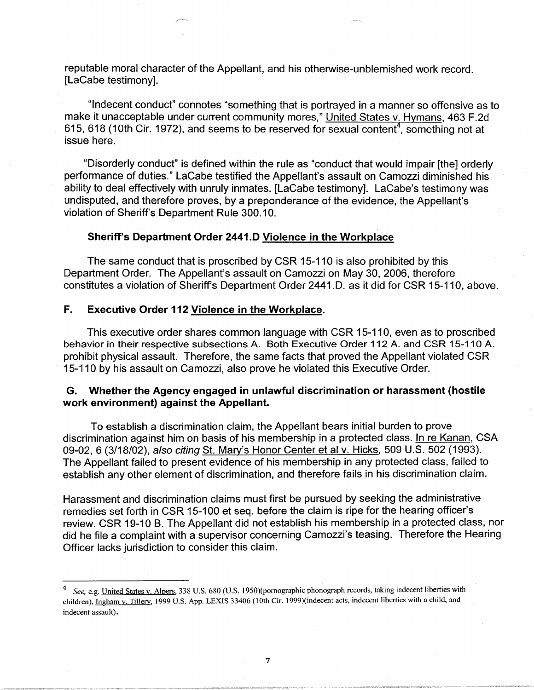reputable moral character of the Appellant, and his otherwise-unblemished work record. [LaCabe testimony].

"Indecent conduct" connotes "something that is portrayed in a manner so offensive as to make it unacceptable under current community mores," United States v. Hymans, 463 F.2d  $615, 618$  (10th Cir. 1972), and seems to be reserved for sexual content<sup>4</sup>, something not at issue here.

"Disorderly conduct" is defined within the rule as "conduct that would impair [the] orderly performance of duties." LaCabe testified the Appellant's assault on Camozzi diminished his ability to deal effectively with unruly inmates. [LaCabe testimony]. LaCabe's testimony was undisputed, and therefore proves, by a preponderance of the evidence, the Appellant's violation of Sheriff's Department Rule 300.10.

## **Sheriff's Department Order 2441.D Violence in the Workplace**

The same conduct that is proscribed by CSR 15-110 is also prohibited by this Department Order. The Appellant's assault on Camozzi on May 30, 2006, therefore constitutes a violation of Sheriff's Department Order 2441.D. as it did for CSR 15-110, above.

### **F. Executive Order 112 Violence in the Workplace.**

This executive order shares common language with CSR 15-110, even as to proscribed behavior in their respective subsections A. Both Executive Order 112 A. and CSR 15-110 A. prohibit physical assault. Therefore, the same facts that proved the Appellant violated CSR 15-110 by his assault on Camozzi, also prove he violated this Executive Order.

## **G. Whether the Agency engaged in unlawful discrimination or harassment (hostile work environment) against the Appellant.**

To establish a discrimination claim, the Appellant bears initial burden to prove discrimination against him on basis of his membership in a protected class. In re Kanan, CSA 09-02, 6 (3/18/02), also citing St. Mary's Honor Center et al v. Hicks, 509 U.S. 502 (1993). The Appellant failed to present evidence of his membership in any protected class, failed to establish any other element of discrimination, and therefore fails in his discrimination claim.

Harassment and discrimination claims must first be pursued by seeking the administrative remedies set forth in CSR 15-100 et seq. before the claim is ripe for the hearing officer's review. CSR 19-10 B. The Appellant did not establish his membership in a protected class, nor did he file a complaint with a supervisor concerning Camozzi's teasing. Therefore the Hearing Officer lacks jurisdiction to consider this claim.

<sup>4</sup>*See,* e.g. United States v. Alpers, 338 U.S. 680 (U.S. l 950)(pomographic phonograph records, taking indecent liberties with children), Ingham v. Tillery, 1999 U.S. App. LEXIS 33406 (10th Cir. 1999)(indecent acts, indecent liberties with a child, and indecent assault).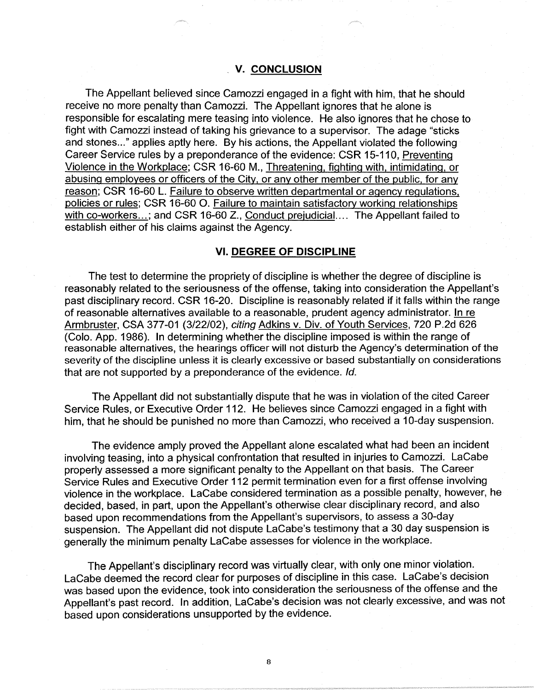### **V. CONCLUSION**

The Appellant believed since Camozzi engaged in a fight with him, that he should receive no more penalty than Camozzi. The Appellant ignores that he alone is responsible for escalating mere teasing into violence. He also ignores that he chose to fight with Camozzi instead of taking his grievance to a supervisor. The adage "sticks and stones..." applies aptly here. By his actions, the Appellant violated the following Career Service rules by a preponderance of the evidence: CSR 15-110, Preventing Violence in the Workplace; CSR 16-60 M., Threatening, fighting with, intimidating, or abusing employees or officers of the City, or any other member of the public, for any reason; CSR 16-60 L. Failure to observe written departmental or agency regulations, policies or rules; CSR 16-60 0. Failure to maintain satisfactory working relationships with co-workers...; and CSR 16-60 Z., Conduct prejudicial.... The Appellant failed to establish either of his claims against the Agency.

#### **VI. DEGREE OF DISCIPLINE**

The test to determine the propriety of discipline is whether the degree of discipline is reasonably related to the seriousness of the offense, taking into consideration the Appellant's past disciplinary record. CSR 16-20. Discipline is reasonably related if it falls within the range of reasonable alternatives available to a reasonable, prudent agency administrator. In re Armbruster, CSA 377-01 (3/22/02), citing Adkins v. Div. of Youth Services, 720 P.2d 626 (Colo. App. 1986). In determining whether the discipline imposed is within the range of reasonable alternatives, the hearings officer will not disturb the Agency's determination of the severity of the discipline unless it is clearly excessive or based substantially on considerations that are not supported by a preponderance of the evidence. Id.

The Appellant did not substantially dispute that he was in violation of the cited Career Service Rules, or Executive Order 112. He believes since Camozzi engaged in a fight with him, that he should be punished no more than Camozzi, who received a 10-day suspension.

The evidence amply proved the Appellant alone escalated what had been an incident involving teasing, into a physical confrontation that resulted in injuries to Camozzi. LaCabe properly assessed a more significant penalty to the Appellant on that basis. The Career Service Rules and Executive Order 112 permit termination even for a first offense involving violence in the workplace. LaCabe considered termination as a possible penalty, however, he decided, based, in part, upon the Appellant's otherwise clear disciplinary record, and also based upon recommendations from the Appellant's supervisors, to assess a 30-day suspension. The Appellant did not dispute LaCabe's testimony that a 30 day suspension is generally the minimum penalty LaCabe assesses for violence in the workplace.

The Appellant's disciplinary record was virtually clear, with only one minor violation. LaCabe deemed the record clear for purposes of discipline in this case. LaCabe's decision was based upon the evidence, took into consideration the seriousness of the offense and the Appellant's past record. In addition, LaCabe's decision was not clearly excessive, and was not based upon considerations unsupported by the evidence.